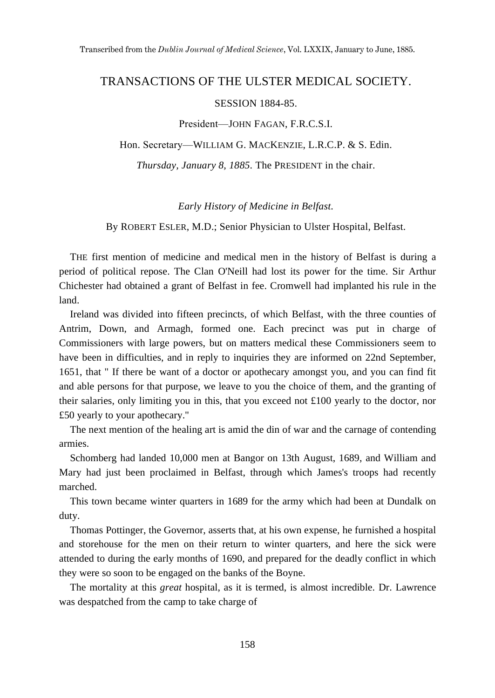## TRANSACTIONS OF THE ULSTER MEDICAL SOCIETY.

## SESSION 1884-85.

President—JOHN FAGAN, F.R.C.S.I.

Hon. Secretary—WILLIAM G. MACKENZIE, L.R.C.P. & S. Edin.

*Thursday, January 8, 1885.* The PRESIDENT in the chair.

## *Early History of Medicine in Belfast.*

By ROBERT ESLER, M.D.; Senior Physician to Ulster Hospital, Belfast.

THE first mention of medicine and medical men in the history of Belfast is during a period of political repose. The Clan O'Neill had lost its power for the time. Sir Arthur Chichester had obtained a grant of Belfast in fee. Cromwell had implanted his rule in the land.

Ireland was divided into fifteen precincts, of which Belfast, with the three counties of Antrim, Down, and Armagh, formed one. Each precinct was put in charge of Commissioners with large powers, but on matters medical these Commissioners seem to have been in difficulties, and in reply to inquiries they are informed on 22nd September, 1651, that " If there be want of a doctor or apothecary amongst you, and you can find fit and able persons for that purpose, we leave to you the choice of them, and the granting of their salaries, only limiting you in this, that you exceed not £100 yearly to the doctor, nor £50 yearly to your apothecary."

The next mention of the healing art is amid the din of war and the carnage of contending armies.

Schomberg had landed 10,000 men at Bangor on 13th August, 1689, and William and Mary had just been proclaimed in Belfast, through which James's troops had recently marched.

This town became winter quarters in 1689 for the army which had been at Dundalk on duty.

Thomas Pottinger, the Governor, asserts that, at his own expense, he furnished a hospital and storehouse for the men on their return to winter quarters, and here the sick were attended to during the early months of 1690, and prepared for the deadly conflict in which they were so soon to be engaged on the banks of the Boyne.

The mortality at this *great* hospital, as it is termed, is almost incredible. Dr. Lawrence was despatched from the camp to take charge of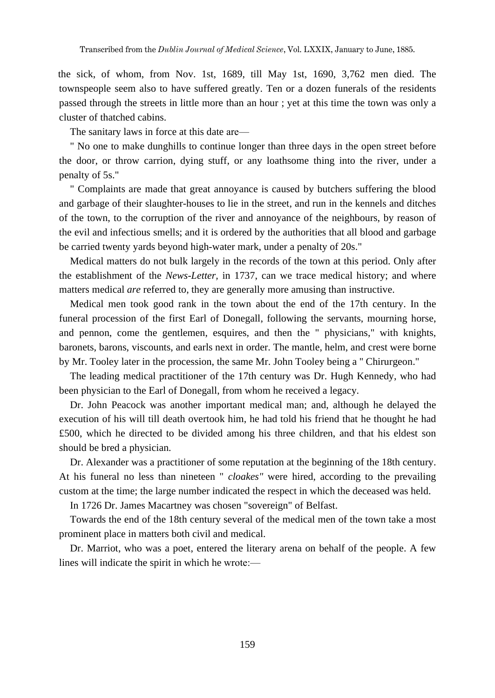the sick, of whom, from Nov. 1st, 1689, till May 1st, 1690, 3,762 men died. The townspeople seem also to have suffered greatly. Ten or a dozen funerals of the residents passed through the streets in little more than an hour ; yet at this time the town was only a cluster of thatched cabins.

The sanitary laws in force at this date are—

" No one to make dunghills to continue longer than three days in the open street before the door, or throw carrion, dying stuff, or any loathsome thing into the river, under a penalty of 5s."

" Complaints are made that great annoyance is caused by butchers suffering the blood and garbage of their slaughter-houses to lie in the street, and run in the kennels and ditches of the town, to the corruption of the river and annoyance of the neighbours, by reason of the evil and infectious smells; and it is ordered by the authorities that all blood and garbage be carried twenty yards beyond high-water mark, under a penalty of 20s."

Medical matters do not bulk largely in the records of the town at this period. Only after the establishment of the *News-Letter,* in 1737, can we trace medical history; and where matters medical *are* referred to, they are generally more amusing than instructive.

Medical men took good rank in the town about the end of the 17th century. In the funeral procession of the first Earl of Donegall, following the servants, mourning horse, and pennon, come the gentlemen, esquires, and then the " physicians," with knights, baronets, barons, viscounts, and earls next in order. The mantle, helm, and crest were borne by Mr. Tooley later in the procession, the same Mr. John Tooley being a '' Chirurgeon."

The leading medical practitioner of the 17th century was Dr. Hugh Kennedy, who had been physician to the Earl of Donegall, from whom he received a legacy.

Dr. John Peacock was another important medical man; and, although he delayed the execution of his will till death overtook him, he had told his friend that he thought he had £500, which he directed to be divided among his three children, and that his eldest son should be bred a physician.

Dr. Alexander was a practitioner of some reputation at the beginning of the 18th century. At his funeral no less than nineteen " *cloakes"* were hired, according to the prevailing custom at the time; the large number indicated the respect in which the deceased was held.

In 1726 Dr. James Macartney was chosen "sovereign" of Belfast.

Towards the end of the 18th century several of the medical men of the town take a most prominent place in matters both civil and medical.

Dr. Marriot, who was a poet, entered the literary arena on behalf of the people. A few lines will indicate the spirit in which he wrote:—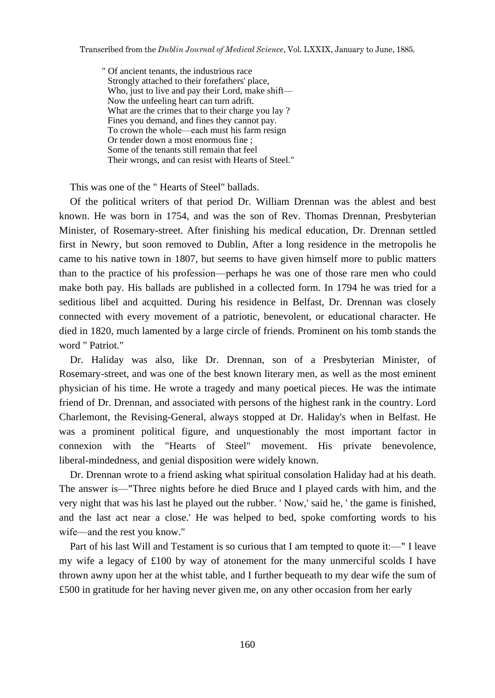" Of ancient tenants, the industrious race Strongly attached to their forefathers' place, Who, just to live and pay their Lord, make shift— Now the unfeeling heart can turn adrift. What are the crimes that to their charge you lay ? Fines you demand, and fines they cannot pay. To crown the whole—each must his farm resign Or tender down a most enormous fine ; Some of the tenants still remain that feel Their wrongs, and can resist with Hearts of Steel."

This was one of the " Hearts of Steel" ballads.

Of the political writers of that period Dr. William Drennan was the ablest and best known. He was born in 1754, and was the son of Rev. Thomas Drennan, Presbyterian Minister, of Rosemary-street. After finishing his medical education, Dr. Drennan settled first in Newry, but soon removed to Dublin, After a long residence in the metropolis he came to his native town in 1807, but seems to have given himself more to public matters than to the practice of his profession—perhaps he was one of those rare men who could make both pay. His ballads are published in a collected form. In 1794 he was tried for a seditious libel and acquitted. During his residence in Belfast, Dr. Drennan was closely connected with every movement of a patriotic, benevolent, or educational character. He died in 1820, much lamented by a large circle of friends. Prominent on his tomb stands the word " Patriot."

Dr. Haliday was also, like Dr. Drennan, son of a Presbyterian Minister, of Rosemary-street, and was one of the best known literary men, as well as the most eminent physician of his time. He wrote a tragedy and many poetical pieces. He was the intimate friend of Dr. Drennan, and associated with persons of the highest rank in the country. Lord Charlemont, the Revising-General, always stopped at Dr. Haliday's when in Belfast. He was a prominent political figure, and unquestionably the most important factor in connexion with the "Hearts of Steel" movement. His private benevolence, liberal-mindedness, and genial disposition were widely known.

Dr. Drennan wrote to a friend asking what spiritual consolation Haliday had at his death. The answer is—"Three nights before he died Bruce and I played cards with him, and the very night that was his last he played out the rubber. ' Now,' said he, ' the game is finished, and the last act near a close.' He was helped to bed, spoke comforting words to his wife—and the rest you know."

Part of his last Will and Testament is so curious that I am tempted to quote it:—" I leave my wife a legacy of £100 by way of atonement for the many unmerciful scolds I have thrown awny upon her at the whist table, and I further bequeath to my dear wife the sum of £500 in gratitude for her having never given me, on any other occasion from her early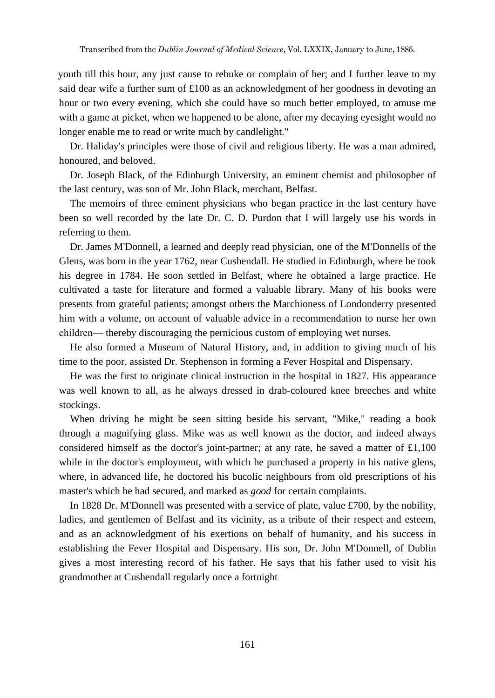youth till this hour, any just cause to rebuke or complain of her; and I further leave to my said dear wife a further sum of £100 as an acknowledgment of her goodness in devoting an hour or two every evening, which she could have so much better employed, to amuse me with a game at picket, when we happened to be alone, after my decaying eyesight would no longer enable me to read or write much by candlelight."

Dr. Haliday's principles were those of civil and religious liberty. He was a man admired, honoured, and beloved.

Dr. Joseph Black, of the Edinburgh University, an eminent chemist and philosopher of the last century, was son of Mr. John Black, merchant, Belfast.

The memoirs of three eminent physicians who began practice in the last century have been so well recorded by the late Dr. C. D. Purdon that I will largely use his words in referring to them.

Dr. James M'Donnell, a learned and deeply read physician, one of the M'Donnells of the Glens, was born in the year 1762, near Cushendall. He studied in Edinburgh, where he took his degree in 1784. He soon settled in Belfast, where he obtained a large practice. He cultivated a taste for literature and formed a valuable library. Many of his books were presents from grateful patients; amongst others the Marchioness of Londonderry presented him with a volume, on account of valuable advice in a recommendation to nurse her own children— thereby discouraging the pernicious custom of employing wet nurses.

He also formed a Museum of Natural History, and, in addition to giving much of his time to the poor, assisted Dr. Stephenson in forming a Fever Hospital and Dispensary.

He was the first to originate clinical instruction in the hospital in 1827. His appearance was well known to all, as he always dressed in drab-coloured knee breeches and white stockings.

When driving he might be seen sitting beside his servant, "Mike," reading a book through a magnifying glass. Mike was as well known as the doctor, and indeed always considered himself as the doctor's joint-partner; at any rate, he saved a matter of  $\pounds1,100$ while in the doctor's employment, with which he purchased a property in his native glens, where, in advanced life, he doctored his bucolic neighbours from old prescriptions of his master's which he had secured, and marked as *good* for certain complaints.

In 1828 Dr. M'Donnell was presented with a service of plate, value £700, by the nobility, ladies, and gentlemen of Belfast and its vicinity, as a tribute of their respect and esteem, and as an acknowledgment of his exertions on behalf of humanity, and his success in establishing the Fever Hospital and Dispensary. His son, Dr. John M'Donnell, of Dublin gives a most interesting record of his father. He says that his father used to visit his grandmother at Cushendall regularly once a fortnight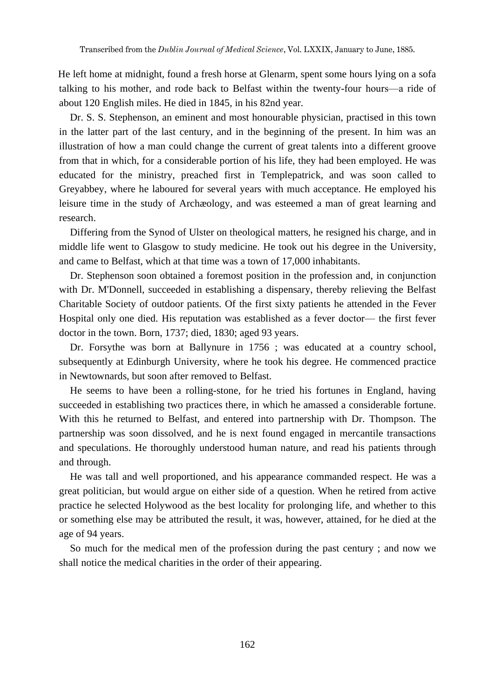He left home at midnight, found a fresh horse at Glenarm, spent some hours lying on a sofa talking to his mother, and rode back to Belfast within the twenty-four hours—a ride of about 120 English miles. He died in 1845, in his 82nd year.

Dr. S. S. Stephenson, an eminent and most honourable physician, practised in this town in the latter part of the last century, and in the beginning of the present. In him was an illustration of how a man could change the current of great talents into a different groove from that in which, for a considerable portion of his life, they had been employed. He was educated for the ministry, preached first in Templepatrick, and was soon called to Greyabbey, where he laboured for several years with much acceptance. He employed his leisure time in the study of Archæology, and was esteemed a man of great learning and research.

Differing from the Synod of Ulster on theological matters, he resigned his charge, and in middle life went to Glasgow to study medicine. He took out his degree in the University, and came to Belfast, which at that time was a town of 17,000 inhabitants.

Dr. Stephenson soon obtained a foremost position in the profession and, in conjunction with Dr. M'Donnell, succeeded in establishing a dispensary, thereby relieving the Belfast Charitable Society of outdoor patients. Of the first sixty patients he attended in the Fever Hospital only one died. His reputation was established as a fever doctor— the first fever doctor in the town. Born, 1737; died, 1830; aged 93 years.

Dr. Forsythe was born at Ballynure in 1756 ; was educated at a country school, subsequently at Edinburgh University, where he took his degree. He commenced practice in Newtownards, but soon after removed to Belfast.

He seems to have been a rolling-stone, for he tried his fortunes in England, having succeeded in establishing two practices there, in which he amassed a considerable fortune. With this he returned to Belfast, and entered into partnership with Dr. Thompson. The partnership was soon dissolved, and he is next found engaged in mercantile transactions and speculations. He thoroughly understood human nature, and read his patients through and through.

He was tall and well proportioned, and his appearance commanded respect. He was a great politician, but would argue on either side of a question. When he retired from active practice he selected Holywood as the best locality for prolonging life, and whether to this or something else may be attributed the result, it was, however, attained, for he died at the age of 94 years.

So much for the medical men of the profession during the past century ; and now we shall notice the medical charities in the order of their appearing.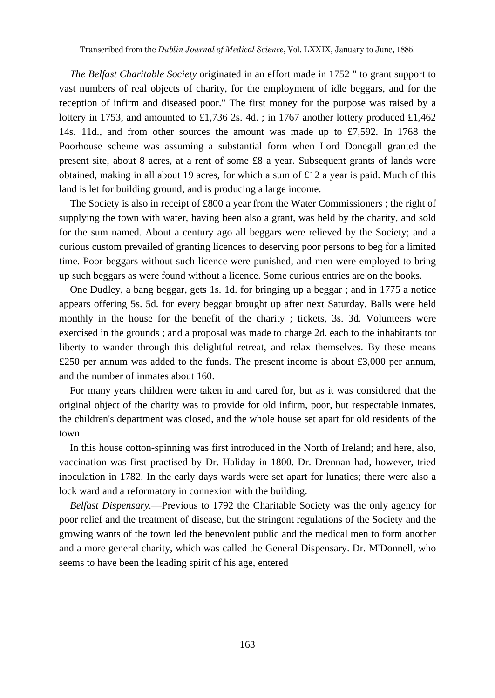*The Belfast Charitable Society* originated in an effort made in 1752 " to grant support to vast numbers of real objects of charity, for the employment of idle beggars, and for the reception of infirm and diseased poor." The first money for the purpose was raised by a lottery in 1753, and amounted to £1,736 2s. 4d. ; in 1767 another lottery produced £1,462 14s. 11d., and from other sources the amount was made up to £7,592. In 1768 the Poorhouse scheme was assuming a substantial form when Lord Donegall granted the present site, about 8 acres, at a rent of some £8 a year. Subsequent grants of lands were obtained, making in all about 19 acres, for which a sum of £12 a year is paid. Much of this land is let for building ground, and is producing a large income.

The Society is also in receipt of £800 a year from the Water Commissioners ; the right of supplying the town with water, having been also a grant, was held by the charity, and sold for the sum named. About a century ago all beggars were relieved by the Society; and a curious custom prevailed of granting licences to deserving poor persons to beg for a limited time. Poor beggars without such licence were punished, and men were employed to bring up such beggars as were found without a licence. Some curious entries are on the books.

One Dudley, a bang beggar, gets 1s. 1d. for bringing up a beggar ; and in 1775 a notice appears offering 5s. 5d. for every beggar brought up after next Saturday. Balls were held monthly in the house for the benefit of the charity ; tickets, 3s. 3d. Volunteers were exercised in the grounds ; and a proposal was made to charge 2d. each to the inhabitants tor liberty to wander through this delightful retreat, and relax themselves. By these means £250 per annum was added to the funds. The present income is about £3,000 per annum, and the number of inmates about 160.

For many years children were taken in and cared for, but as it was considered that the original object of the charity was to provide for old infirm, poor, but respectable inmates, the children's department was closed, and the whole house set apart for old residents of the town.

In this house cotton-spinning was first introduced in the North of Ireland; and here, also, vaccination was first practised by Dr. Haliday in 1800. Dr. Drennan had, however, tried inoculation in 1782. In the early days wards were set apart for lunatics; there were also a lock ward and a reformatory in connexion with the building.

*Belfast Dispensary.*—Previous to 1792 the Charitable Society was the only agency for poor relief and the treatment of disease, but the stringent regulations of the Society and the growing wants of the town led the benevolent public and the medical men to form another and a more general charity, which was called the General Dispensary. Dr. M'Donnell, who seems to have been the leading spirit of his age, entered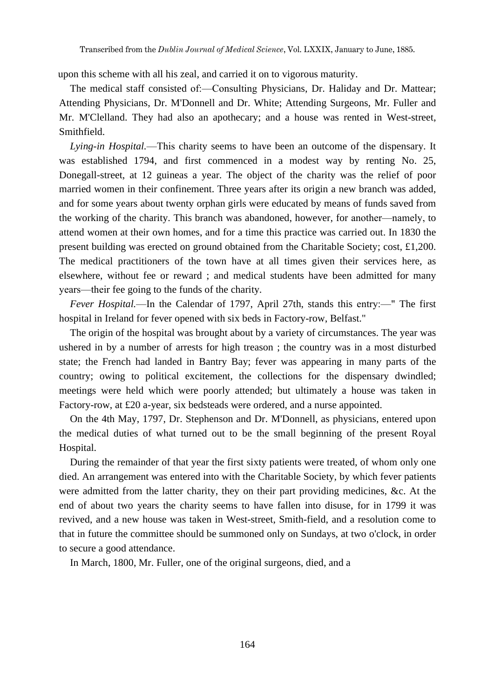upon this scheme with all his zeal, and carried it on to vigorous maturity.

The medical staff consisted of:—Consulting Physicians, Dr. Haliday and Dr. Mattear; Attending Physicians, Dr. M'Donnell and Dr. White; Attending Surgeons, Mr. Fuller and Mr. M'Clelland. They had also an apothecary; and a house was rented in West-street, Smithfield.

*Lying-in Hospital.*—This charity seems to have been an outcome of the dispensary. It was established 1794, and first commenced in a modest way by renting No. 25, Donegall-street, at 12 guineas a year. The object of the charity was the relief of poor married women in their confinement. Three years after its origin a new branch was added, and for some years about twenty orphan girls were educated by means of funds saved from the working of the charity. This branch was abandoned, however, for another—namely, to attend women at their own homes, and for a time this practice was carried out. In 1830 the present building was erected on ground obtained from the Charitable Society; cost, £1,200. The medical practitioners of the town have at all times given their services here, as elsewhere, without fee or reward ; and medical students have been admitted for many years—their fee going to the funds of the charity.

*Fever Hospital.*—In the Calendar of 1797, April 27th, stands this entry:—" The first hospital in Ireland for fever opened with six beds in Factory-row, Belfast."

The origin of the hospital was brought about by a variety of circumstances. The year was ushered in by a number of arrests for high treason ; the country was in a most disturbed state; the French had landed in Bantry Bay; fever was appearing in many parts of the country; owing to political excitement, the collections for the dispensary dwindled; meetings were held which were poorly attended; but ultimately a house was taken in Factory-row, at £20 a-year, six bedsteads were ordered, and a nurse appointed.

On the 4th May, 1797, Dr. Stephenson and Dr. M'Donnell, as physicians, entered upon the medical duties of what turned out to be the small beginning of the present Royal Hospital.

During the remainder of that year the first sixty patients were treated, of whom only one died. An arrangement was entered into with the Charitable Society, by which fever patients were admitted from the latter charity, they on their part providing medicines, &c. At the end of about two years the charity seems to have fallen into disuse, for in 1799 it was revived, and a new house was taken in West-street, Smith-field, and a resolution come to that in future the committee should be summoned only on Sundays, at two o'clock, in order to secure a good attendance.

In March, 1800, Mr. Fuller, one of the original surgeons, died, and a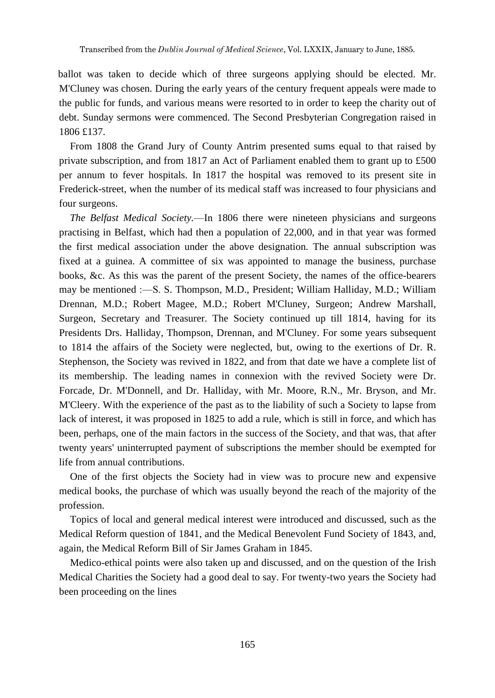ballot was taken to decide which of three surgeons applying should be elected. Mr. M'Cluney was chosen. During the early years of the century frequent appeals were made to the public for funds, and various means were resorted to in order to keep the charity out of debt. Sunday sermons were commenced. The Second Presbyterian Congregation raised in 1806 £137.

From 1808 the Grand Jury of County Antrim presented sums equal to that raised by private subscription, and from 1817 an Act of Parliament enabled them to grant up to £500 per annum to fever hospitals. In 1817 the hospital was removed to its present site in Frederick-street, when the number of its medical staff was increased to four physicians and four surgeons.

*The Belfast Medical Society.*—In 1806 there were nineteen physicians and surgeons practising in Belfast, which had then a population of 22,000, and in that year was formed the first medical association under the above designation. The annual subscription was fixed at a guinea. A committee of six was appointed to manage the business, purchase books, &c. As this was the parent of the present Society, the names of the office-bearers may be mentioned :—S. S. Thompson, M.D., President; William Halliday, M.D.; William Drennan, M.D.; Robert Magee, M.D.; Robert M'Cluney, Surgeon; Andrew Marshall, Surgeon, Secretary and Treasurer. The Society continued up till 1814, having for its Presidents Drs. Halliday, Thompson, Drennan, and M'Cluney. For some years subsequent to 1814 the affairs of the Society were neglected, but, owing to the exertions of Dr. R. Stephenson, the Society was revived in 1822, and from that date we have a complete list of its membership. The leading names in connexion with the revived Society were Dr. Forcade, Dr. M'Donnell, and Dr. Halliday, with Mr. Moore, R.N., Mr. Bryson, and Mr. M'Cleery. With the experience of the past as to the liability of such a Society to lapse from lack of interest, it was proposed in 1825 to add a rule, which is still in force, and which has been, perhaps, one of the main factors in the success of the Society, and that was, that after twenty years' uninterrupted payment of subscriptions the member should be exempted for life from annual contributions.

One of the first objects the Society had in view was to procure new and expensive medical books, the purchase of which was usually beyond the reach of the majority of the profession.

Topics of local and general medical interest were introduced and discussed, such as the Medical Reform question of 1841, and the Medical Benevolent Fund Society of 1843, and, again, the Medical Reform Bill of Sir James Graham in 1845.

Medico-ethical points were also taken up and discussed, and on the question of the Irish Medical Charities the Society had a good deal to say. For twenty-two years the Society had been proceeding on the lines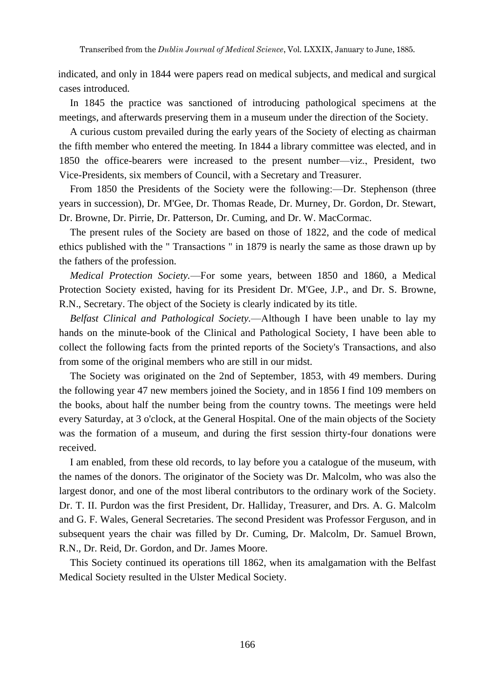indicated, and only in 1844 were papers read on medical subjects, and medical and surgical cases introduced.

In 1845 the practice was sanctioned of introducing pathological specimens at the meetings, and afterwards preserving them in a museum under the direction of the Society.

A curious custom prevailed during the early years of the Society of electing as chairman the fifth member who entered the meeting. In 1844 a library committee was elected, and in 1850 the office-bearers were increased to the present number—viz., President, two Vice-Presidents, six members of Council, with a Secretary and Treasurer.

From 1850 the Presidents of the Society were the following:—Dr. Stephenson (three years in succession), Dr. M'Gee, Dr. Thomas Reade, Dr. Murney, Dr. Gordon, Dr. Stewart, Dr. Browne, Dr. Pirrie, Dr. Patterson, Dr. Cuming, and Dr. W. MacCormac.

The present rules of the Society are based on those of 1822, and the code of medical ethics published with the " Transactions " in 1879 is nearly the same as those drawn up by the fathers of the profession.

*Medical Protection Society.*—For some years, between 1850 and 1860, a Medical Protection Society existed, having for its President Dr. M'Gee, J.P., and Dr. S. Browne, R.N., Secretary. The object of the Society is clearly indicated by its title.

*Belfast Clinical and Pathological Society.*—Although I have been unable to lay my hands on the minute-book of the Clinical and Pathological Society, I have been able to collect the following facts from the printed reports of the Society's Transactions, and also from some of the original members who are still in our midst.

The Society was originated on the 2nd of September, 1853, with 49 members. During the following year 47 new members joined the Society, and in 1856 I find 109 members on the books, about half the number being from the country towns. The meetings were held every Saturday, at 3 o'clock, at the General Hospital. One of the main objects of the Society was the formation of a museum, and during the first session thirty-four donations were received.

I am enabled, from these old records, to lay before you a catalogue of the museum, with the names of the donors. The originator of the Society was Dr. Malcolm, who was also the largest donor, and one of the most liberal contributors to the ordinary work of the Society. Dr. T. II. Purdon was the first President, Dr. Halliday, Treasurer, and Drs. A. G. Malcolm and G. F. Wales, General Secretaries. The second President was Professor Ferguson, and in subsequent years the chair was filled by Dr. Cuming, Dr. Malcolm, Dr. Samuel Brown, R.N., Dr. Reid, Dr. Gordon, and Dr. James Moore.

This Society continued its operations till 1862, when its amalgamation with the Belfast Medical Society resulted in the Ulster Medical Society.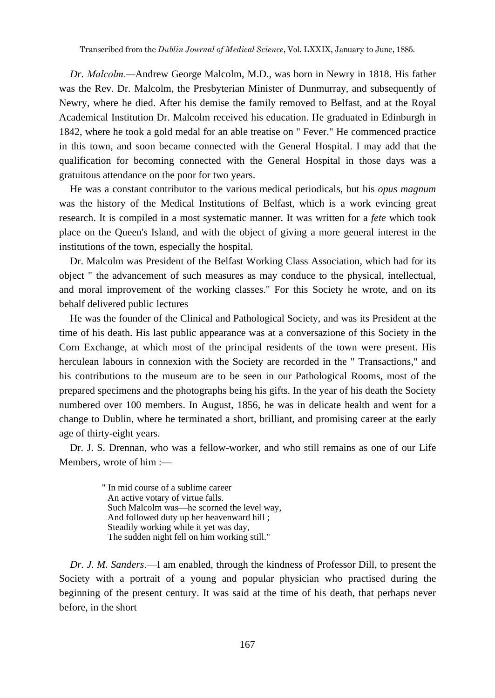*Dr. Malcolm.—*Andrew George Malcolm, M.D., was born in Newry in 1818. His father was the Rev. Dr. Malcolm, the Presbyterian Minister of Dunmurray, and subsequently of Newry, where he died. After his demise the family removed to Belfast, and at the Royal Academical Institution Dr. Malcolm received his education. He graduated in Edinburgh in 1842, where he took a gold medal for an able treatise on " Fever." He commenced practice in this town, and soon became connected with the General Hospital. I may add that the qualification for becoming connected with the General Hospital in those days was a gratuitous attendance on the poor for two years.

He was a constant contributor to the various medical periodicals, but his *opus magnum* was the history of the Medical Institutions of Belfast, which is a work evincing great research. It is compiled in a most systematic manner. It was written for a *fete* which took place on the Queen's Island, and with the object of giving a more general interest in the institutions of the town, especially the hospital.

Dr. Malcolm was President of the Belfast Working Class Association, which had for its object " the advancement of such measures as may conduce to the physical, intellectual, and moral improvement of the working classes." For this Society he wrote, and on its behalf delivered public lectures

He was the founder of the Clinical and Pathological Society, and was its President at the time of his death. His last public appearance was at a conversazione of this Society in the Corn Exchange, at which most of the principal residents of the town were present. His herculean labours in connexion with the Society are recorded in the " Transactions," and his contributions to the museum are to be seen in our Pathological Rooms, most of the prepared specimens and the photographs being his gifts. In the year of his death the Society numbered over 100 members. In August, 1856, he was in delicate health and went for a change to Dublin, where he terminated a short, brilliant, and promising career at the early age of thirty-eight years.

Dr. J. S. Drennan, who was a fellow-worker, and who still remains as one of our Life Members, wrote of him :—

> " In mid course of a sublime career An active votary of virtue falls. Such Malcolm was—he scorned the level way, And followed duty up her heavenward hill ; Steadily working while it yet was day, The sudden night fell on him working still."

*Dr. J. M. Sanders*.—I am enabled, through the kindness of Professor Dill, to present the Society with a portrait of a young and popular physician who practised during the beginning of the present century. It was said at the time of his death, that perhaps never before, in the short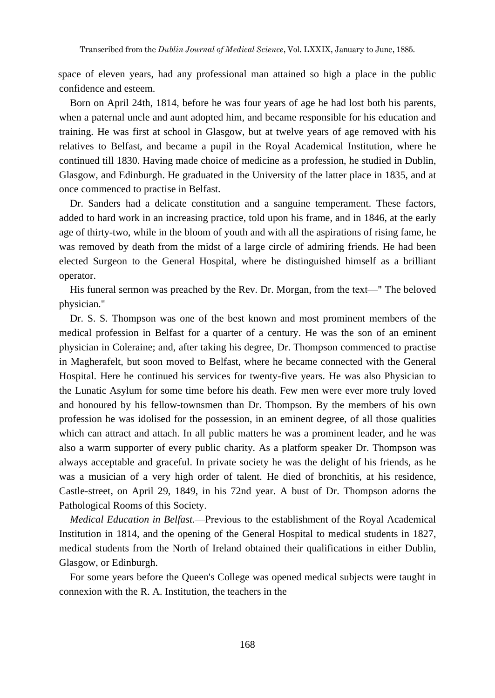space of eleven years, had any professional man attained so high a place in the public confidence and esteem.

Born on April 24th, 1814, before he was four years of age he had lost both his parents, when a paternal uncle and aunt adopted him, and became responsible for his education and training. He was first at school in Glasgow, but at twelve years of age removed with his relatives to Belfast, and became a pupil in the Royal Academical Institution, where he continued till 1830. Having made choice of medicine as a profession, he studied in Dublin, Glasgow, and Edinburgh. He graduated in the University of the latter place in 1835, and at once commenced to practise in Belfast.

Dr. Sanders had a delicate constitution and a sanguine temperament. These factors, added to hard work in an increasing practice, told upon his frame, and in 1846, at the early age of thirty-two, while in the bloom of youth and with all the aspirations of rising fame, he was removed by death from the midst of a large circle of admiring friends. He had been elected Surgeon to the General Hospital, where he distinguished himself as a brilliant operator.

His funeral sermon was preached by the Rev. Dr. Morgan, from the text—" The beloved physician."

Dr. S. S. Thompson was one of the best known and most prominent members of the medical profession in Belfast for a quarter of a century. He was the son of an eminent physician in Coleraine; and, after taking his degree, Dr. Thompson commenced to practise in Magherafelt, but soon moved to Belfast, where he became connected with the General Hospital. Here he continued his services for twenty-five years. He was also Physician to the Lunatic Asylum for some time before his death. Few men were ever more truly loved and honoured by his fellow-townsmen than Dr. Thompson. By the members of his own profession he was idolised for the possession, in an eminent degree, of all those qualities which can attract and attach. In all public matters he was a prominent leader, and he was also a warm supporter of every public charity. As a platform speaker Dr. Thompson was always acceptable and graceful. In private society he was the delight of his friends, as he was a musician of a very high order of talent. He died of bronchitis, at his residence, Castle-street, on April 29, 1849, in his 72nd year. A bust of Dr. Thompson adorns the Pathological Rooms of this Society.

*Medical Education in Belfast.*—Previous to the establishment of the Royal Academical Institution in 1814, and the opening of the General Hospital to medical students in 1827, medical students from the North of Ireland obtained their qualifications in either Dublin, Glasgow, or Edinburgh.

For some years before the Queen's College was opened medical subjects were taught in connexion with the R. A. Institution, the teachers in the